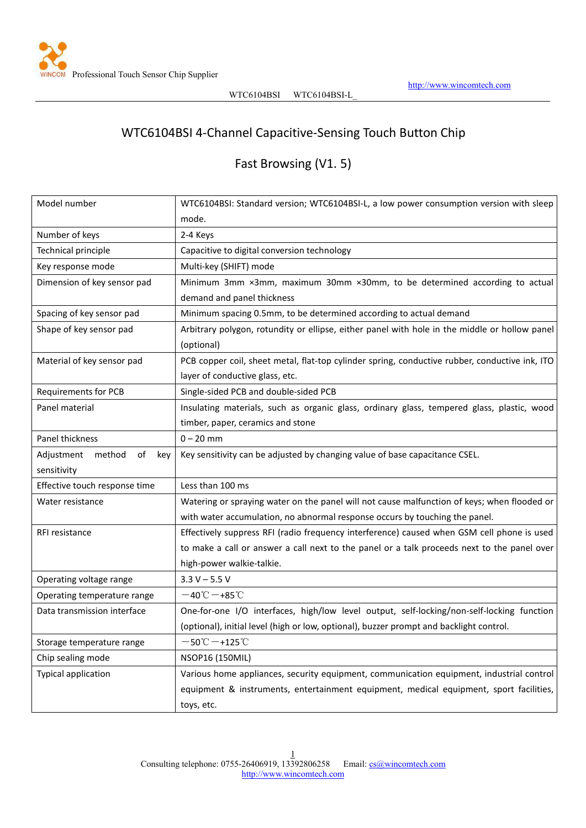

## WTC6104BSI 4-Channel Capacitive-Sensing Touch Button Chip

# Fast Browsing (V1. 5)

| Model number                  | WTC6104BSI: Standard version; WTC6104BSI-L, a low power consumption version with sleep                      |
|-------------------------------|-------------------------------------------------------------------------------------------------------------|
|                               | mode.                                                                                                       |
| Number of keys                | 2-4 Keys                                                                                                    |
| Technical principle           | Capacitive to digital conversion technology                                                                 |
| Key response mode             | Multi-key (SHIFT) mode                                                                                      |
| Dimension of key sensor pad   | Minimum 3mm ×3mm, maximum 30mm ×30mm, to be determined according to actual                                  |
|                               | demand and panel thickness                                                                                  |
| Spacing of key sensor pad     | Minimum spacing 0.5mm, to be determined according to actual demand                                          |
| Shape of key sensor pad       | Arbitrary polygon, rotundity or ellipse, either panel with hole in the middle or hollow panel<br>(optional) |
| Material of key sensor pad    | PCB copper coil, sheet metal, flat-top cylinder spring, conductive rubber, conductive ink, ITO              |
|                               | layer of conductive glass, etc.                                                                             |
| <b>Requirements for PCB</b>   | Single-sided PCB and double-sided PCB                                                                       |
| Panel material                | Insulating materials, such as organic glass, ordinary glass, tempered glass, plastic, wood                  |
|                               | timber, paper, ceramics and stone                                                                           |
| Panel thickness               | $0 - 20$ mm                                                                                                 |
| Adjustment method of<br>key   | Key sensitivity can be adjusted by changing value of base capacitance CSEL.                                 |
| sensitivity                   |                                                                                                             |
| Effective touch response time | Less than 100 ms                                                                                            |
| Water resistance              | Watering or spraying water on the panel will not cause malfunction of keys; when flooded or                 |
|                               | with water accumulation, no abnormal response occurs by touching the panel.                                 |
| RFI resistance                | Effectively suppress RFI (radio frequency interference) caused when GSM cell phone is used                  |
|                               | to make a call or answer a call next to the panel or a talk proceeds next to the panel over                 |
|                               | high-power walkie-talkie.                                                                                   |
| Operating voltage range       | $3.3 V - 5.5 V$                                                                                             |
| Operating temperature range   | $-40^{\circ}\text{C} - +85^{\circ}\text{C}$                                                                 |
| Data transmission interface   | One-for-one I/O interfaces, high/low level output, self-locking/non-self-locking function                   |
|                               | (optional), initial level (high or low, optional), buzzer prompt and backlight control.                     |
| Storage temperature range     | $-50^{\circ}\text{C}$ $-+125^{\circ}\text{C}$                                                               |
| Chip sealing mode             | NSOP16 (150MIL)                                                                                             |
| <b>Typical application</b>    | Various home appliances, security equipment, communication equipment, industrial control                    |
|                               | equipment & instruments, entertainment equipment, medical equipment, sport facilities,                      |
|                               | toys, etc.                                                                                                  |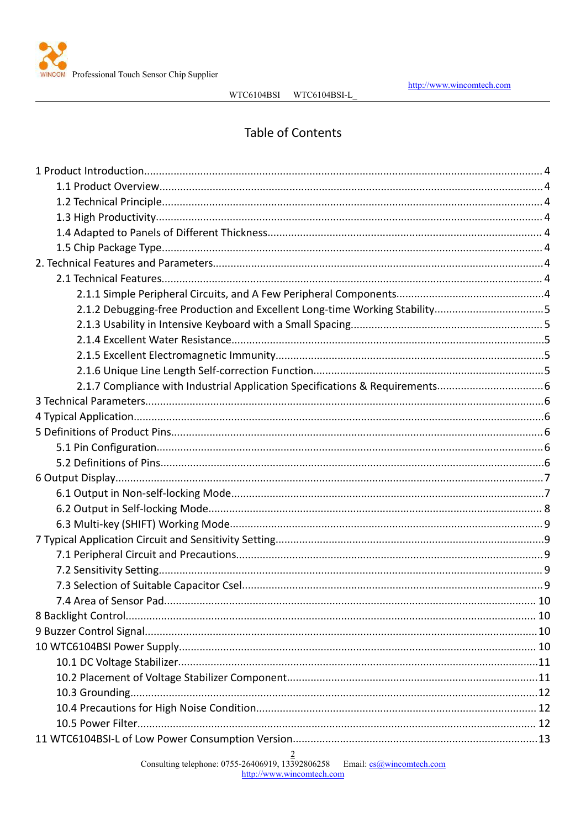

## **Table of Contents**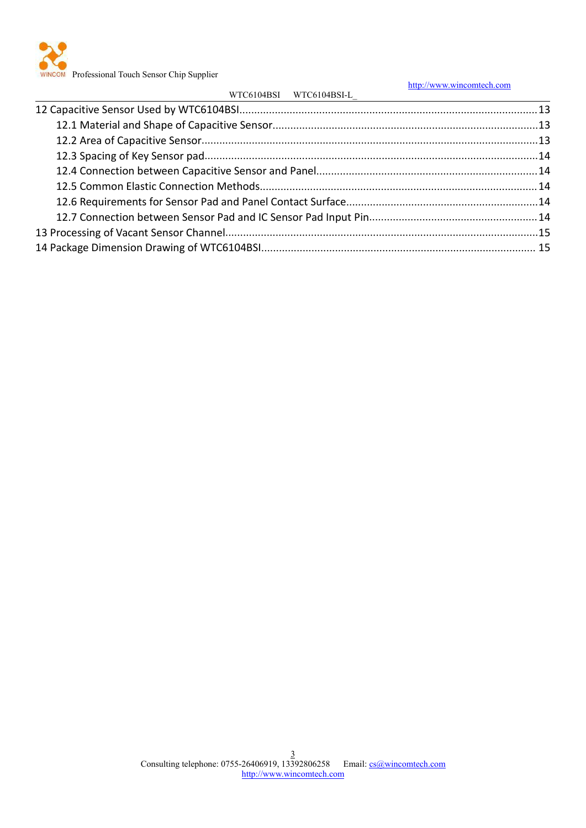

WINCOM Professional Touch Sensor Chip Supplier

|                         | http://www.wincomtech.com |
|-------------------------|---------------------------|
| WTC6104BSI WTC6104BSI-L |                           |
|                         |                           |
|                         |                           |
|                         |                           |
|                         |                           |
|                         |                           |
|                         |                           |
|                         |                           |
|                         |                           |
|                         |                           |
|                         |                           |
|                         |                           |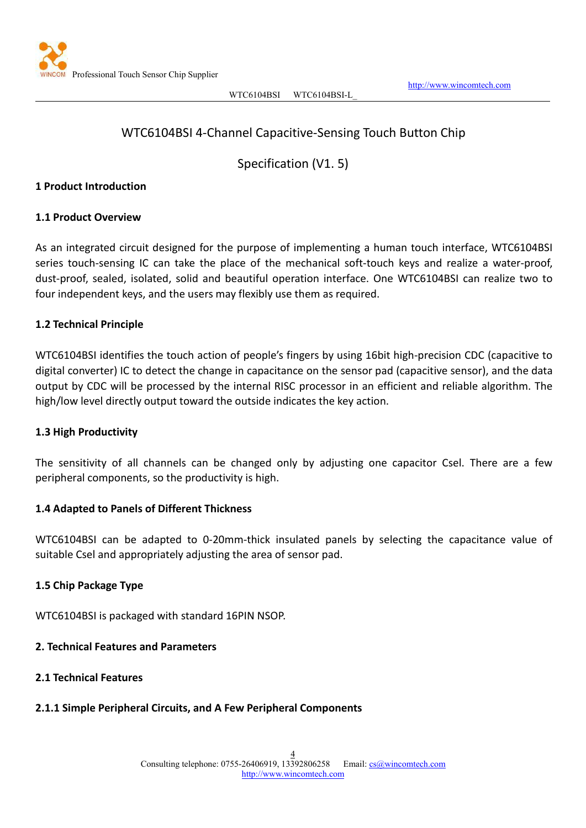<span id="page-3-0"></span>

## WTC6104BSI 4-Channel Capacitive-Sensing Touch Button Chip

Specification (V1. 5)

#### **1 Product Introduction**

#### **1.1 Product Overview**

As an integrated circuit designed for the purpose of implementing a human touch interface, WTC6104BSI series touch-sensing IC can take the place of the mechanical soft-touch keys and realize a water-proof, dust-proof, sealed, isolated, solid and beautiful operation interface. One WTC6104BSI can realize two to four independent keys, and the users may flexibly use them as required.

#### **1.2 Technical Principle**

WTC6104BSI identifies the touch action of people's fingers by using 16bit high-precision CDC (capacitive to digital converter) IC to detect the change in capacitance on the sensor pad (capacitive sensor), and the data output by CDC will be processed by the internal RISC processor in an efficient and reliable algorithm. The high/low level directly output toward the outside indicates the key action.

#### **1.3 High Productivity**

The sensitivity of all channels can be changed only by adjusting one capacitor Csel. There are a few peripheral components, so the productivity is high.

#### **1.4 Adapted to Panels of Different Thickness**

WTC6104BSI can be adapted to 0-20mm-thick insulated panels by selecting the capacitance value of suitable Csel and appropriately adjusting the area of sensor pad.

#### **1.5 Chip Package Type**

WTC6104BSI is packaged with standard 16PIN NSOP.

#### **2. Technical Features and Parameters**

**2.1 Technical Features**

#### **2.1.1 Simple Peripheral Circuits, and A Few Peripheral Components**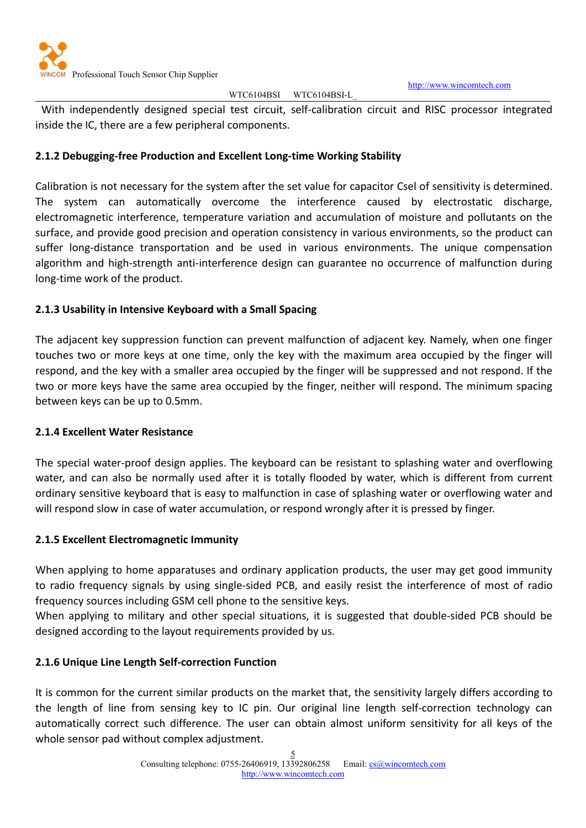

<http://www.wincomtech.com>

#### WTC6104BSI WTC6104BSI-L

<span id="page-4-0"></span>With independently designed special test circuit, self-calibration circuit and RISC processor integrated inside the IC, there are a few peripheral components.

## **2.1.2 Debugging-free Production and Excellent Long-time Working Stability**

Calibration is not necessary for the system after the set value for capacitor Csel of sensitivity is determined. The system can automatically overcome the interference caused by electrostatic discharge, electromagnetic interference, temperature variation and accumulation of moisture and pollutants on the surface, and provide good precision and operation consistency in various environments, so the product can suffer long-distance transportation and be used in various environments. The unique compensation algorithm and high-strength anti-interference design can guarantee no occurrence of malfunction during long-time work of the product.

## **2.1.3 Usability in Intensive Keyboard with a Small Spacing**

The adjacent key suppression function can prevent malfunction of adjacent key. Namely, when one finger touches two or more keys at one time, only the key with the maximum area occupied by the finger will respond, and the key with a smaller area occupied by the finger will be suppressed and not respond. If the two or more keys have the same area occupied by the finger, neither will respond. The minimum spacing between keys can be up to 0.5mm.

## **2.1.4 Excellent Water Resistance**

The special water-proof design applies. The keyboard can be resistant to splashing water and overflowing water, and can also be normally used after it is totally flooded by water, which is different from current ordinary sensitive keyboard that is easy to malfunction in case of splashing water or overflowing water and will respond slow in case of water accumulation, or respond wrongly after it is pressed by finger.

## **2.1.5 Excellent Electromagnetic Immunity**

When applying to home apparatuses and ordinary application products, the user may get good immunity to radio frequency signals by using single-sided PCB, and easily resist the interference of most of radio frequency sources including GSM cell phone to the sensitive keys.

When applying to military and other special situations, it is suggested that double-sided PCB should be designed according to the layout requirements provided by us.

## **2.1.6 Unique Line Length Self-correction Function**

It is common for the current similar products on the market that, the sensitivity largely differs according to the length of line from sensing key to IC pin. Our original line length self-correction technology can automatically correct such difference. The user can obtain almost uniform sensitivity for all keys of the whole sensor pad without complex adjustment.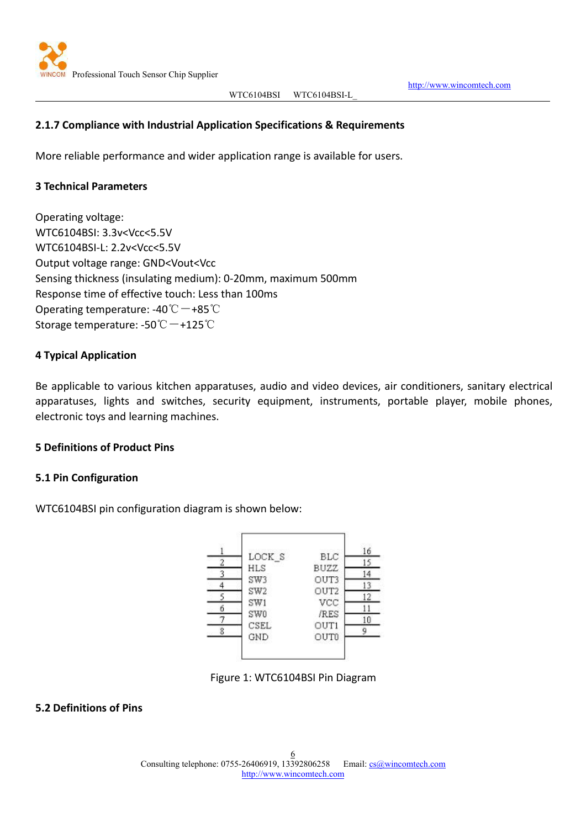

<http://www.wincomtech.com>

## <span id="page-5-0"></span>**2.1.7 Compliance with Industrial Application Specifications & Requirements**

More reliable performance and wider application range is available for users.

## **3 Technical Parameters**

Operating voltage: WTC6104BSI: 3.3v<Vcc<5.5V WTC6104BSI-L: 2.2v<Vcc<5.5V Output voltage range: GND<Vout<Vcc Sensing thickness (insulating medium): 0-20mm, maximum 500mm Response time of effective touch: Less than 100ms Operating temperature: -40℃-+85℃ Storage temperature: -50℃ -+125℃

## **4 Typical Application**

Be applicable to various kitchen apparatuses, audio and video devices, air conditioners, sanitary electrical apparatuses, lights and switches, security equipment, instruments, portable player, mobile phones, electronic toys and learning machines.

#### **5 Definitions of Product Pins**

#### **5.1 Pin Configuration**

WTC6104BSI pin configuration diagram is shown below:



Figure 1: WTC6104BSI Pin Diagram

## **5.2 Definitions of Pins**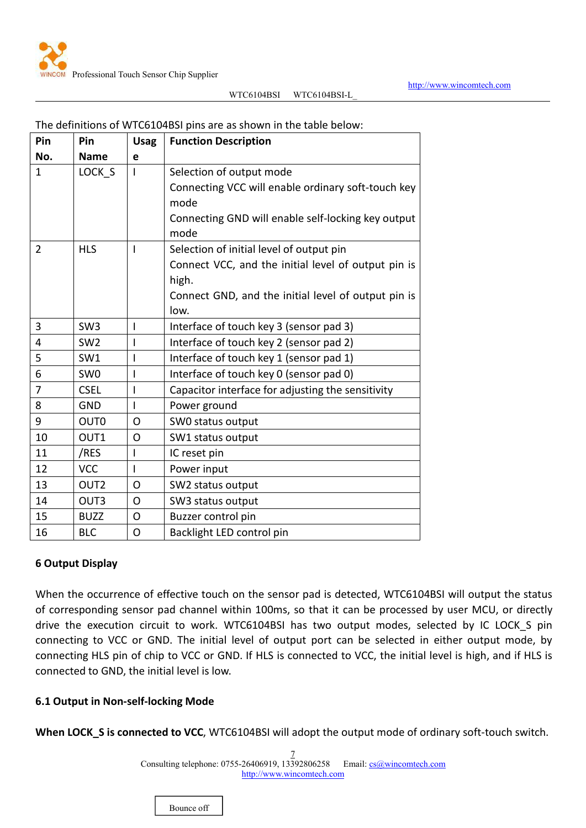

| Pin            | Pin              | <b>Usag</b>  | <b>Function Description</b>                         |
|----------------|------------------|--------------|-----------------------------------------------------|
| No.            | <b>Name</b>      | e            |                                                     |
| $\mathbf{1}$   | LOCK S           |              | Selection of output mode                            |
|                |                  |              | Connecting VCC will enable ordinary soft-touch key  |
|                |                  |              | mode                                                |
|                |                  |              | Connecting GND will enable self-locking key output  |
|                |                  |              | mode                                                |
| $\overline{2}$ | <b>HLS</b>       | $\mathbf{I}$ | Selection of initial level of output pin            |
|                |                  |              | Connect VCC, and the initial level of output pin is |
|                |                  |              | high.                                               |
|                |                  |              | Connect GND, and the initial level of output pin is |
|                |                  |              | low.                                                |
| $\overline{3}$ | SW <sub>3</sub>  | T            | Interface of touch key 3 (sensor pad 3)             |
| 4              | SW <sub>2</sub>  | I            | Interface of touch key 2 (sensor pad 2)             |
| 5              | SW1              | I            | Interface of touch key 1 (sensor pad 1)             |
| 6              | SW <sub>0</sub>  | I.           | Interface of touch key 0 (sensor pad 0)             |
| $\overline{7}$ | <b>CSEL</b>      |              | Capacitor interface for adjusting the sensitivity   |
| 8              | <b>GND</b>       | $\mathbf{I}$ | Power ground                                        |
| 9              | OUT <sub>0</sub> | $\Omega$     | SWO status output                                   |
| 10             | OUT1             | O            | SW1 status output                                   |
| 11             | /RES             |              | IC reset pin                                        |
| 12             | <b>VCC</b>       | $\mathbf{I}$ | Power input                                         |
| 13             | OUT <sub>2</sub> | O            | SW2 status output                                   |
| 14             | OUT3             | $\mathsf{O}$ | SW3 status output                                   |
| 15             | <b>BUZZ</b>      | O            | Buzzer control pin                                  |
| 16             | <b>BLC</b>       | O            | Backlight LED control pin                           |

#### <span id="page-6-0"></span>The definitions of WTC6104BSI pins are as shown in the table below:

#### **6 Output Display**

When the occurrence of effective touch on the sensor pad is detected, WTC6104BSI will output the status of corresponding sensor pad channel within 100ms, so that it can be processed by user MCU, or directly drive the execution circuit to work. WTC6104BSI has two output modes, selected by IC LOCK\_S pin connecting to VCC or GND. The initial level of output port can be selected in either output mode, by connecting HLS pin of chip to VCC or GND. If HLS is connected to VCC, the initial level is high, and if HLS is connected to GND, the initial level is low.

#### **6.1 Output in Non-self-locking Mode**

**When LOCK\_S is connected to VCC**, WTC6104BSI will adopt the output mode of ordinary soft-touch switch.

7 Consulting telephone: 0755-26406919, 13392806258 Email: [cs@wincomtech.com](mailto:cs@wincomtech.com) <http://www.wincomtech.com>

Bounce off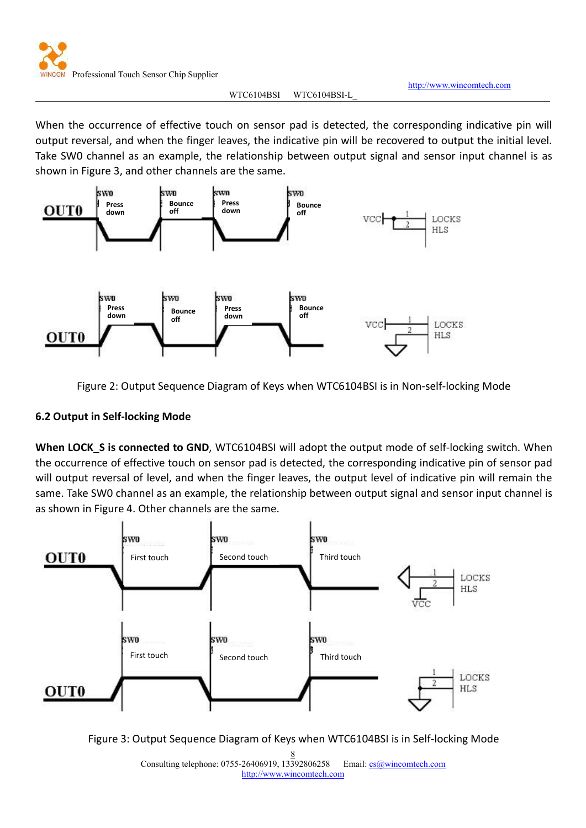<http://www.wincomtech.com>

<span id="page-7-0"></span>When the occurrence of effective touch on sensor pad is detected, the corresponding indicative pin will output reversal, and when the finger leaves, the indicative pin will be recovered to output the initial level. Take SW0 channel as an example, the relationship between output signal and sensor input channel is as shown in Figure 3, and other channels are the same.



Figure 2: Output Sequence Diagram of Keys when WTC6104BSI is in Non-self-locking Mode

## **6.2 Output in Self-locking Mode**

**When LOCK\_S is connected to GND**, WTC6104BSI will adopt the outputmode of self-locking switch. When the occurrence of effective touch on sensor pad is detected, the corresponding indicative pin of sensor pad will output reversal of level, and when the finger leaves, the output level of indicative pin will remain the same. Take SW0 channel as an example, the relationship between output signal and sensor input channel is as shown in Figure 4. Other channels are the same.





8 Consulting telephone: 0755-26406919, 13392806258 Email: [cs@wincomtech.com](mailto:cs@wincomtech.com) <http://www.wincomtech.com>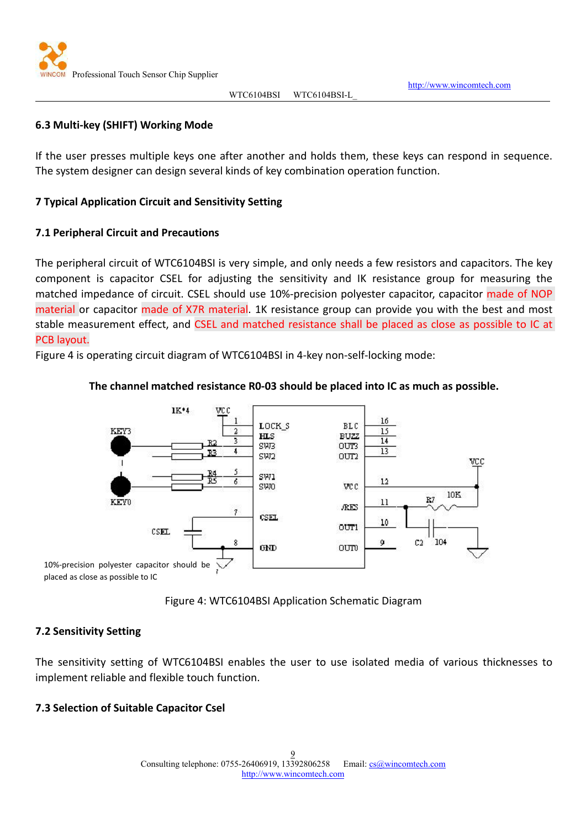

<http://www.wincomtech.com>

#### <span id="page-8-0"></span>**6.3 Multi-key (SHIFT) Working Mode**

If the user presses multiple keys one after another and holds them, these keys can respond in sequence. The system designer can design several kinds of key combination operation function.

#### **7 Typical Application Circuit and Sensitivity Setting**

#### **7.1 Peripheral Circuit and Precautions**

The peripheral circuit of WTC6104BSI is very simple, and only needs a few resistors and capacitors. The key component is capacitor CSEL for adjusting the sensitivity and IK resistance group for measuring the matched impedance of circuit. CSEL should use 10%-precision polyester capacitor, capacitor made of NOP material or capacitor made of X7R material. 1K resistance group can provide you with the best and most stable measurement effect, and CSEL and matched resistance shall be placed as close as possible to IC at PCB layout.

Figure 4 is operating circuit diagram of WTC6104BSI in 4-key non-self-locking mode:

## **The channel matched resistance R0-03 should be placed into IC as much as possible.**



placed as close as possible to IC



## **7.2 Sensitivity Setting**

The sensitivity setting of WTC6104BSI enables the user to use isolated media of various thicknesses to implement reliable and flexible touch function.

## **7.3 Selection of Suitable Capacitor Csel**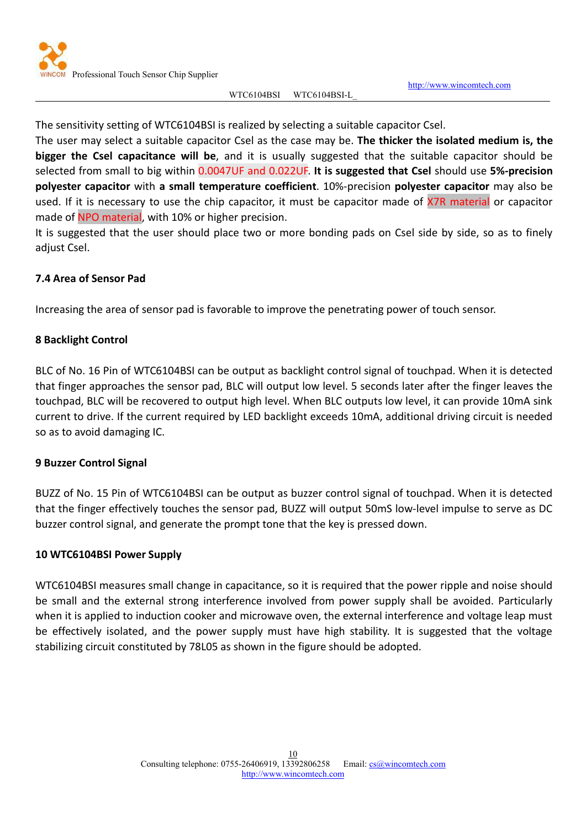

<http://www.wincomtech.com>

<span id="page-9-0"></span>The sensitivity setting of WTC6104BSI is realized by selecting a suitable capacitor Csel.

The user may select a suitable capacitor Csel as the case may be. **The thicker the isolated medium is, the bigger the Csel capacitance will be**, and it is usually suggested that the suitable capacitor should be selected from small to big within 0.0047UF and 0.022UF. **It is suggested that Csel**should use **5%-precision polyester capacitor** with **a small temperature coefficient**. 10%-precision **polyester capacitor** may also be used. If it is necessary to use the chip capacitor, it must be capacitor made of X7R material or capacitor made of NPO material, with 10% or higher precision.

It is suggested that the user should place two or more bonding pads on Csel side by side, so as to finely adjust Csel.

## **7.4 Area of Sensor Pad**

Increasing the area of sensor pad is favorable to improve the penetrating power of touch sensor.

## **8 Backlight Control**

BLC of No. 16 Pin of WTC6104BSI can be output as backlight control signal of touchpad. When it is detected that finger approaches the sensor pad, BLC will output low level. 5 seconds later after the finger leaves the touchpad, BLC will be recovered to output high level. When BLC outputs low level, it can provide 10mA sink current to drive. If the current required by LED backlight exceeds 10mA, additional driving circuit is needed so as to avoid damaging IC.

#### **9 Buzzer Control Signal**

BUZZ of No. 15 Pin of WTC6104BSI can be output as buzzer control signal of touchpad. When it is detected that the finger effectively touches the sensor pad, BUZZ will output 50mS low-level impulse to serve as DC buzzer control signal, and generate the prompt tone that the key is pressed down.

#### **10 WTC6104BSI Power Supply**

WTC6104BSI measures small change in capacitance, so it is required that the power ripple and noise should be small and the external strong interference involved from power supply shall be avoided. Particularly when it is applied to induction cooker and microwave oven, the external interference and voltage leap must be effectively isolated, and the power supply must have high stability. It is suggested that the voltage stabilizing circuit constituted by 78L05 as shown in the figure should be adopted.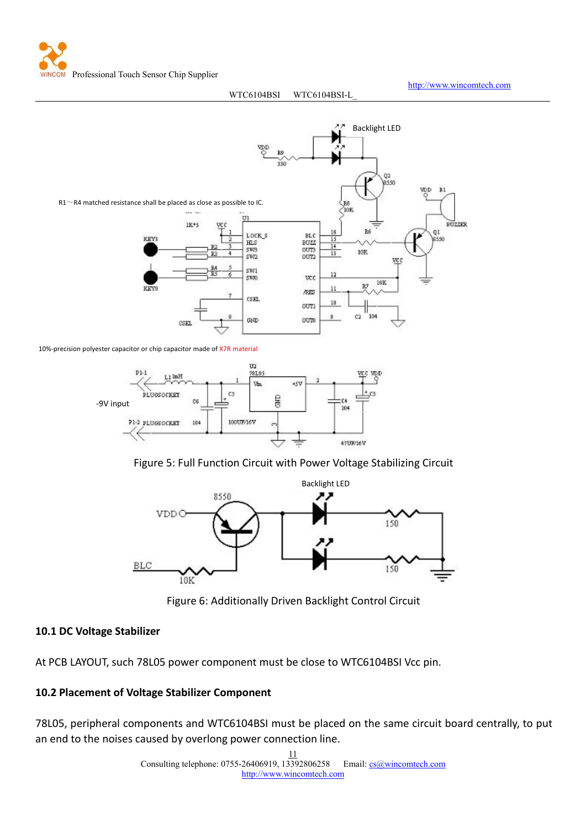Professional Touch Sensor Chip Supplier

#### WTC6104BSI WTC6104BSI-L

<http://www.wincomtech.com>

<span id="page-10-0"></span>

10%-precision polyester capacitor or chip capacitor made of X7R material



Figure 5: Full Function Circuit with Power Voltage Stabilizing Circuit



Figure 6: Additionally Driven Backlight Control Circuit

## **10.1 DC Voltage Stabilizer**

At PCB LAYOUT, such 78L05 power component must be close to WTC6104BSI Vcc pin.

## **10.2 Placement of Voltage Stabilizer Component**

78L05, peripheral components and WTC6104BSI must be placed on the same circuit board centrally, to put an end to the noises caused by overlong power connection line.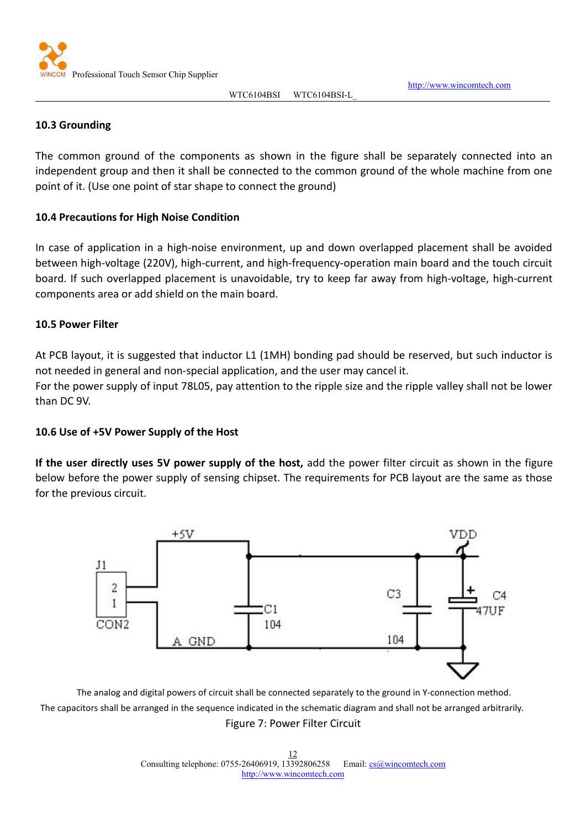

<http://www.wincomtech.com>

#### <span id="page-11-0"></span>**10.3 Grounding**

The common ground of the components as shown in the figure shall be separately connected into an independent group and then it shall be connected to the common ground of the whole machine from one point of it.(Use one point of star shape to connect the ground)

#### **10.4 Precautions for High Noise Condition**

In case of application in a high-noise environment, up and down overlapped placement shall be avoided between high-voltage (220V), high-current, and high-frequency-operation main board and the touch circuit board. If such overlapped placement is unavoidable, try to keep far away from high-voltage, high-current components area or add shield on the main board.

#### **10.5 Power Filter**

At PCB layout, it is suggested that inductor L1 (1MH) bonding pad should be reserved, but such inductor is

not needed in general and non-special application, and the user may cancel it.<br>For the power supply of input 78L05, pay attention to the ripple size and the ripple valley shall not be lower than DC 9V.

#### **10.6 Use of +5V Power Supply of the Host**

**If the user directly uses 5V power supply of the host,** add the power filter circuit as shown in the figure below before the power supply of sensing chipset. The requirements for PCB layout are the same as those for the previous circuit.



The analog and digital powers of circuit shall be connected separately to the ground in Y-connection method. The capacitors shall be arranged in the sequence indicated in the schematic diagram and shall not be arranged arbitrarily. Figure 7: Power Filter Circuit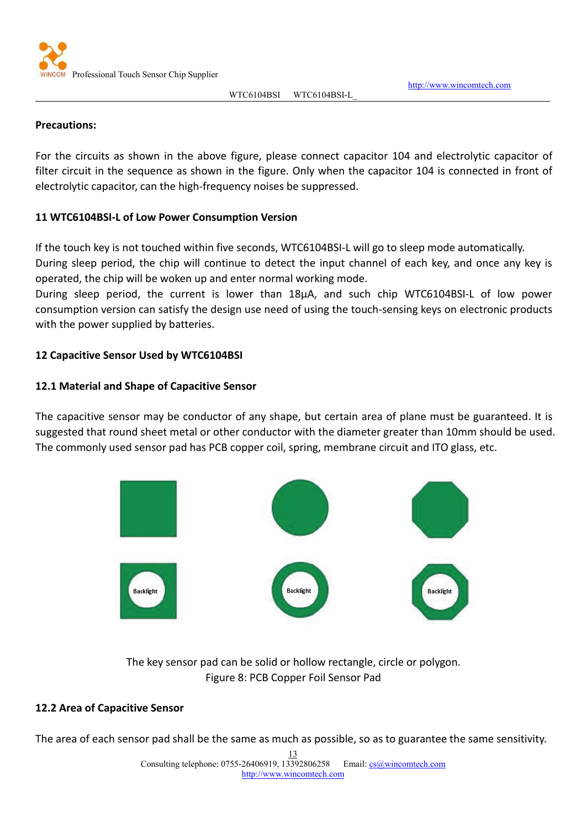

<http://www.wincomtech.com>

#### <span id="page-12-0"></span>**Precautions:**

For the circuits as shown in the above figure, please connect capacitor 104 and electrolytic capacitor of filter circuit in the sequence as shown in the figure. Only when the capacitor 104 is connected in front of electrolytic capacitor, can the high-frequency noises be suppressed.

#### **11 WTC6104BSI-L of Low Power Consumption Version**

If the touch key is not touched within five seconds, WTC6104BSI-L will go to sleep mode automatically. During sleep period, the chip will continue to detect the input channel of each key, and once any key is operated, the chip will be woken up and enter normal working mode.

During sleep period, the current is lower than 18μA, and such chip WTC6104BSI-L of low power consumption version can satisfy the design use need of using the touch-sensing keys on electronic products with the power supplied by batteries.

## **12 Capacitive Sensor Used by WTC6104BSI**

## **12.1 Material and Shape of Capacitive Sensor**

The capacitive sensor may be conductor of any shape, but certain area of plane must be guaranteed. It is suggested that round sheet metal or other conductor with the diameter greater than 10mm should be used. The commonly used sensor pad has PCB copper coil, spring, membrane circuit and ITO glass, etc.



The key sensor pad can be solid or hollow rectangle, circle or polygon. Figure 8: PCB Copper Foil Sensor Pad

#### **12.2 Area of Capacitive Sensor**

The area of each sensor pad shall be the same as much as possible, so as to guarantee the same sensitivity.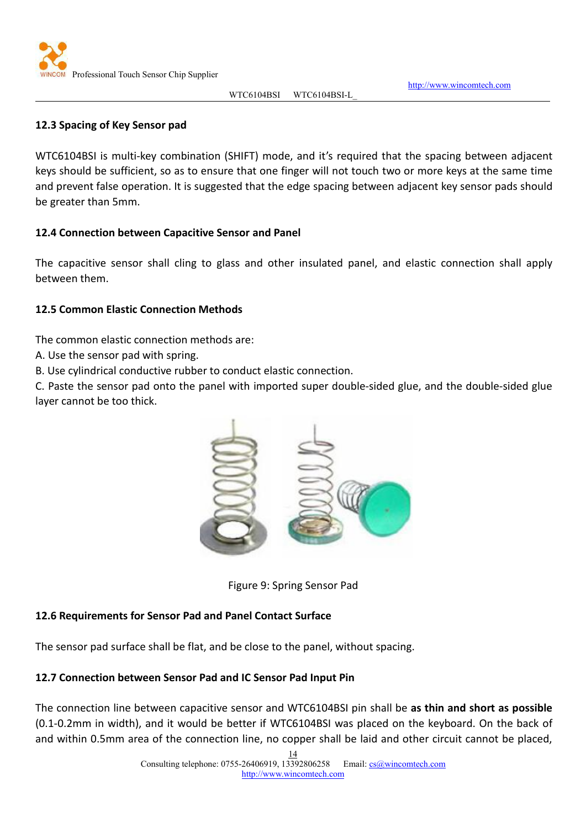

<http://www.wincomtech.com>

## <span id="page-13-0"></span>**12.3 Spacing of Key Sensor pad**

WTC6104BSI is multi-key combination (SHIFT) mode, and it's required that the spacing between adjacent keys should be sufficient, so as to ensure that one finger will not touch two or more keysat the same time and prevent false operation. It is suggested that the edge spacing between adjacent key sensor pads should be greater than 5mm.

## **12.4 Connection between Capacitive Sensor and Panel**

The capacitive sensor shall cling to glass and other insulated panel, and elastic connection shall apply between them.

## **12.5 Common Elastic Connection Methods**

The common elastic connection methods are:

A. Use the sensor pad with spring.

B. Use cylindrical conductive rubber to conduct elastic connection.

C. Paste the sensor pad onto the panel with imported super double-sided glue, and the double-sided glue layer cannot be too thick.



Figure 9: Spring Sensor Pad

## **12.6 Requirements for Sensor Pad and Panel Contact Surface**

The sensor pad surface shall be flat, and be close to the panel, without spacing.

## **12.7 Connection between Sensor Pad and IC Sensor Pad Input Pin**

The connection line between capacitive sensor and WTC6104BSI pin shall be **as thin and short as possible** (0.1-0.2mm in width), and it would be better if WTC6104BSI was placed on the keyboard. On the back of and within 0.5mm area of the connection line, no copper shall be laid and other circuit cannot be placed,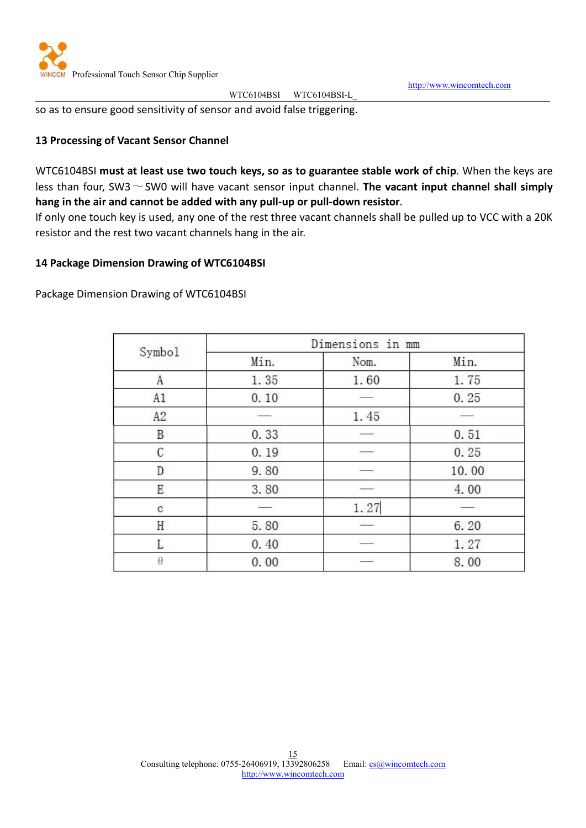

<http://www.wincomtech.com>

<span id="page-14-0"></span>so as to ensure good sensitivity of sensor and avoid false triggering.

## **13 Processing of Vacant Sensor Channel**

WTC6104BSI **must at least use two touch keys, so as to guarantee stable work of chip**. When the keysare less than four, SW3~SW0 will have vacant sensor input channel. **The vacant input channel shall simply hang in the air and cannot be added with any pull-up or pull-down resistor**.

If only one touch key is used, any one of the rest three vacant channels shall be pulled up to VCC with a 20K resistor and the rest two vacant channels hang in the air.

#### **14 Package Dimension Drawing of WTC6104BSI**

Package Dimension Drawing of WTC6104BSI

| Symbol     |      | Dimensions in mm |       |
|------------|------|------------------|-------|
|            | Min. | Nom.             | Min.  |
| A          | 1.35 | 1.60             | 1.75  |
| A1         | 0.10 |                  | 0.25  |
| A2         |      | 1.45             |       |
| B          | 0.33 |                  | 0.51  |
| C          | 0.19 |                  | 0.25  |
| D          | 9.80 |                  | 10.00 |
| E          | 3.80 |                  | 4.00  |
| $\ddot{c}$ |      | 1.27             |       |
| Н          | 5.80 |                  | 6.20  |
| L          | 0.40 |                  | 1.27  |
| $\theta$   | 0.00 |                  | 8.00  |